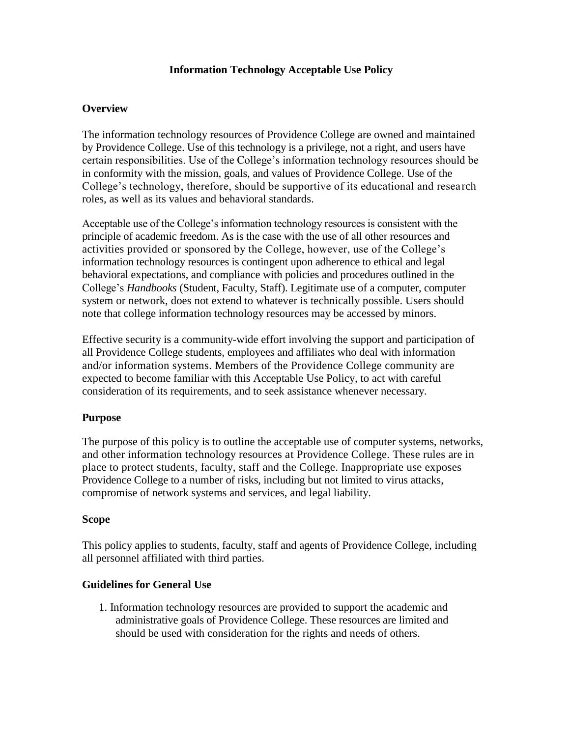## **Information Technology Acceptable Use Policy**

#### **Overview**

The information technology resources of Providence College are owned and maintained by Providence College. Use of this technology is a privilege, not a right, and users have certain responsibilities. Use of the College's information technology resources should be in conformity with the mission, goals, and values of Providence College. Use of the College's technology, therefore, should be supportive of its educational and research roles, as well as its values and behavioral standards.

Acceptable use of the College's information technology resources is consistent with the principle of academic freedom. As is the case with the use of all other resources and activities provided or sponsored by the College, however, use of the College's information technology resources is contingent upon adherence to ethical and legal behavioral expectations, and compliance with policies and procedures outlined in the College's *Handbooks* (Student, Faculty, Staff). Legitimate use of a computer, computer system or network, does not extend to whatever is technically possible. Users should note that college information technology resources may be accessed by minors.

Effective security is a community-wide effort involving the support and participation of all Providence College students, employees and affiliates who deal with information and/or information systems. Members of the Providence College community are expected to become familiar with this Acceptable Use Policy, to act with careful consideration of its requirements, and to seek assistance whenever necessary.

#### **Purpose**

The purpose of this policy is to outline the acceptable use of computer systems, networks, and other information technology resources at Providence College. These rules are in place to protect students, faculty, staff and the College. Inappropriate use exposes Providence College to a number of risks, including but not limited to virus attacks, compromise of network systems and services, and legal liability.

#### **Scope**

This policy applies to students, faculty, staff and agents of Providence College, including all personnel affiliated with third parties.

#### **Guidelines for General Use**

1. Information technology resources are provided to support the academic and administrative goals of Providence College. These resources are limited and should be used with consideration for the rights and needs of others.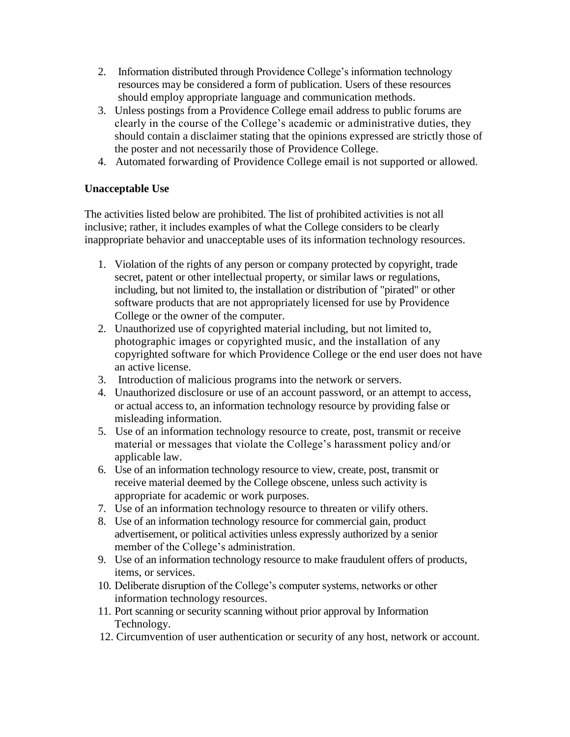- 2. Information distributed through Providence College's information technology resources may be considered a form of publication. Users of these resources should employ appropriate language and communication methods.
- 3. Unless postings from a Providence College email address to public forums are clearly in the course of the College's academic or administrative duties, they should contain a disclaimer stating that the opinions expressed are strictly those of the poster and not necessarily those of Providence College.
- 4. Automated forwarding of Providence College email is not supported or allowed.

### **Unacceptable Use**

The activities listed below are prohibited. The list of prohibited activities is not all inclusive; rather, it includes examples of what the College considers to be clearly inappropriate behavior and unacceptable uses of its information technology resources.

- 1. Violation of the rights of any person or company protected by copyright, trade secret, patent or other intellectual property, or similar laws or regulations, including, but not limited to, the installation or distribution of "pirated" or other software products that are not appropriately licensed for use by Providence College or the owner of the computer.
- 2. Unauthorized use of copyrighted material including, but not limited to, photographic images or copyrighted music, and the installation of any copyrighted software for which Providence College or the end user does not have an active license.
- 3. Introduction of malicious programs into the network or servers.
- 4. Unauthorized disclosure or use of an account password, or an attempt to access, or actual access to, an information technology resource by providing false or misleading information.
- 5. Use of an information technology resource to create, post, transmit or receive material or messages that violate the College's harassment policy and/or applicable law.
- 6. Use of an information technology resource to view, create, post, transmit or receive material deemed by the College obscene, unless such activity is appropriate for academic or work purposes.
- 7. Use of an information technology resource to threaten or vilify others.
- 8. Use of an information technology resource for commercial gain, product advertisement, or political activities unless expressly authorized by a senior member of the College's administration.
- 9. Use of an information technology resource to make fraudulent offers of products, items, or services.
- 10. Deliberate disruption of the College's computer systems, networks or other information technology resources.
- 11. Port scanning or security scanning without prior approval by Information Technology.
- 12. Circumvention of user authentication or security of any host, network or account.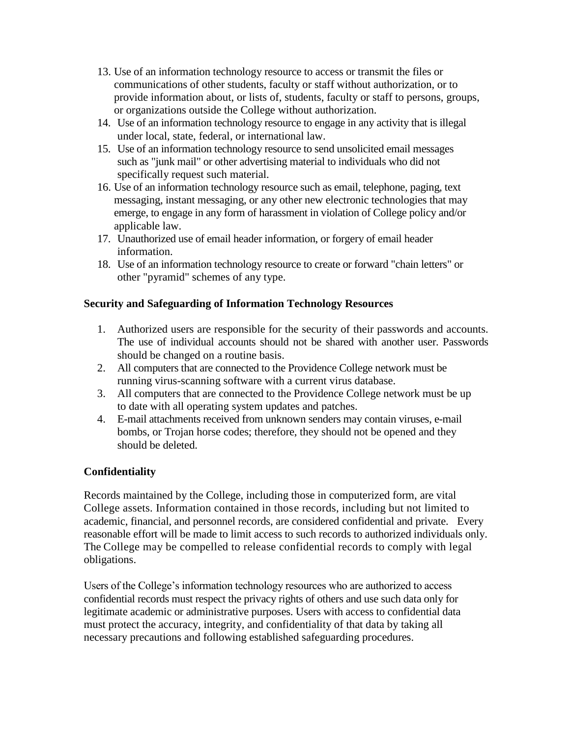- 13. Use of an information technology resource to access or transmit the files or communications of other students, faculty or staff without authorization, or to provide information about, or lists of, students, faculty or staff to persons, groups, or organizations outside the College without authorization.
- 14. Use of an information technology resource to engage in any activity that is illegal under local, state, federal, or international law.
- 15. Use of an information technology resource to send unsolicited email messages such as "junk mail" or other advertising material to individuals who did not specifically request such material.
- 16. Use of an information technology resource such as email, telephone, paging, text messaging, instant messaging, or any other new electronic technologies that may emerge, to engage in any form of harassment in violation of College policy and/or applicable law.
- 17. Unauthorized use of email header information, or forgery of email header information.
- 18. Use of an information technology resource to create or forward "chain letters" or other "pyramid" schemes of any type.

# **Security and Safeguarding of Information Technology Resources**

- 1. Authorized users are responsible for the security of their passwords and accounts. The use of individual accounts should not be shared with another user. Passwords should be changed on a routine basis.
- 2. All computers that are connected to the Providence College network must be running virus-scanning software with a current virus database.
- 3. All computers that are connected to the Providence College network must be up to date with all operating system updates and patches.
- 4. E-mail attachments received from unknown senders may contain viruses, e-mail bombs, or Trojan horse codes; therefore, they should not be opened and they should be deleted.

# **Confidentiality**

Records maintained by the College, including those in computerized form, are vital College assets. Information contained in those records, including but not limited to academic, financial, and personnel records, are considered confidential and private. Every reasonable effort will be made to limit access to such records to authorized individuals only. The College may be compelled to release confidential records to comply with legal obligations.

Users of the College's information technology resources who are authorized to access confidential records must respect the privacy rights of others and use such data only for legitimate academic or administrative purposes. Users with access to confidential data must protect the accuracy, integrity, and confidentiality of that data by taking all necessary precautions and following established safeguarding procedures.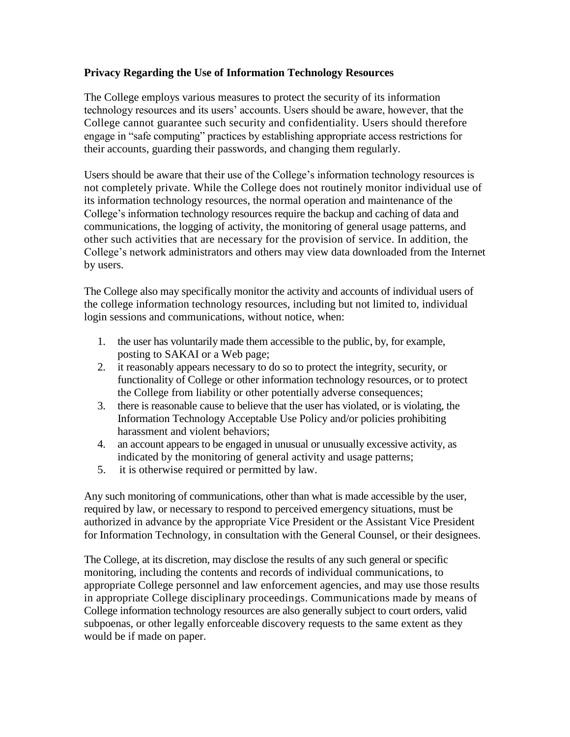## **Privacy Regarding the Use of Information Technology Resources**

The College employs various measures to protect the security of its information technology resources and its users' accounts. Users should be aware, however, that the College cannot guarantee such security and confidentiality. Users should therefore engage in "safe computing" practices by establishing appropriate access restrictions for their accounts, guarding their passwords, and changing them regularly.

Users should be aware that their use of the College's information technology resources is not completely private. While the College does not routinely monitor individual use of its information technology resources, the normal operation and maintenance of the College's information technology resources require the backup and caching of data and communications, the logging of activity, the monitoring of general usage patterns, and other such activities that are necessary for the provision of service. In addition, the College's network administrators and others may view data downloaded from the Internet by users.

The College also may specifically monitor the activity and accounts of individual users of the college information technology resources, including but not limited to, individual login sessions and communications, without notice, when:

- 1. the user has voluntarily made them accessible to the public, by, for example, posting to SAKAI or a Web page;
- 2. it reasonably appears necessary to do so to protect the integrity, security, or functionality of College or other information technology resources, or to protect the College from liability or other potentially adverse consequences;
- 3. there is reasonable cause to believe that the user has violated, or is violating, the Information Technology Acceptable Use Policy and/or policies prohibiting harassment and violent behaviors;
- 4. an account appears to be engaged in unusual or unusually excessive activity, as indicated by the monitoring of general activity and usage patterns;
- 5. it is otherwise required or permitted by law.

Any such monitoring of communications, other than what is made accessible by the user, required by law, or necessary to respond to perceived emergency situations, must be authorized in advance by the appropriate Vice President or the Assistant Vice President for Information Technology, in consultation with the General Counsel, or their designees.

The College, at its discretion, may disclose the results of any such general or specific monitoring, including the contents and records of individual communications, to appropriate College personnel and law enforcement agencies, and may use those results in appropriate College disciplinary proceedings. Communications made by means of College information technology resources are also generally subject to court orders, valid subpoenas, or other legally enforceable discovery requests to the same extent as they would be if made on paper.